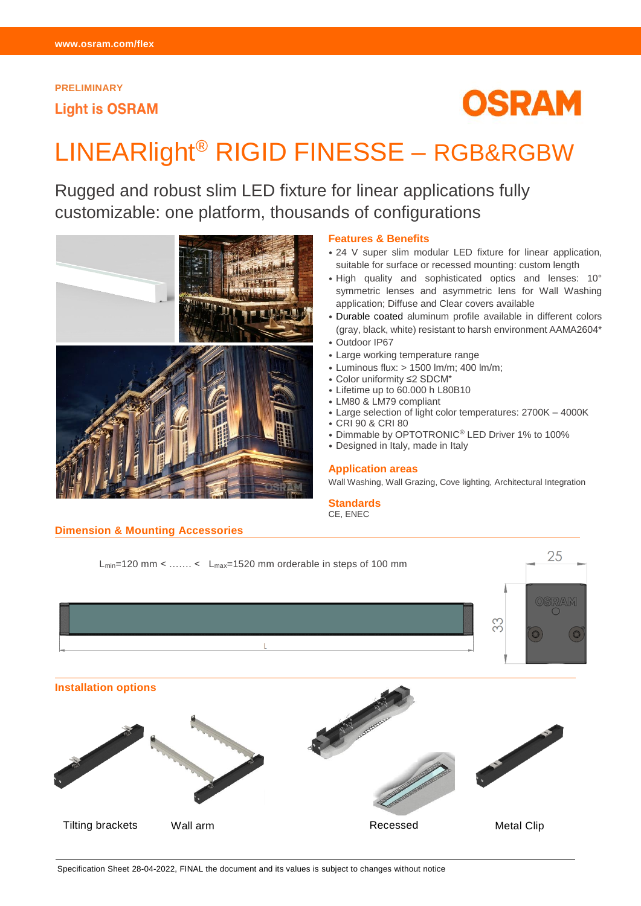# **PRELIMINARY Light is OSRAM**



# LINEARlight® RIGID FINESSE – RGB&RGBW

Rugged and robust slim LED fixture for linear applications fully customizable: one platform, thousands of configurations



# **Dimension & Mounting Accessories**

## **Features & Benefits**

- 24 V super slim modular LED fixture for linear application, suitable for surface or recessed mounting: custom length
- High quality and sophisticated optics and lenses: 10° symmetric lenses and asymmetric lens for Wall Washing application; Diffuse and Clear covers available
- Durable coated aluminum profile available in different colors (gray, black, white) resistant to harsh environment AAMA2604\*
- Outdoor IP67
- Large working temperature range
- Luminous flux: > 1500 lm/m; 400 lm/m;
- Color uniformity ≤2 SDCM\*
- Lifetime up to 60.000 h L80B10
- LM80 & LM79 compliant
- Large selection of light color temperatures: 2700K 4000K
- CRI 90 & CRI 80
- Dimmable by OPTOTRONIC® LED Driver 1% to 100%
- Designed in Italy, made in Italy

## **Application areas**

Wall Washing, Wall Grazing, Cove lighting, Architectural Integration

## **Standards**

CE, ENEC



Specification Sheet 28-04-2022, FINAL the document and its values is subject to changes without notice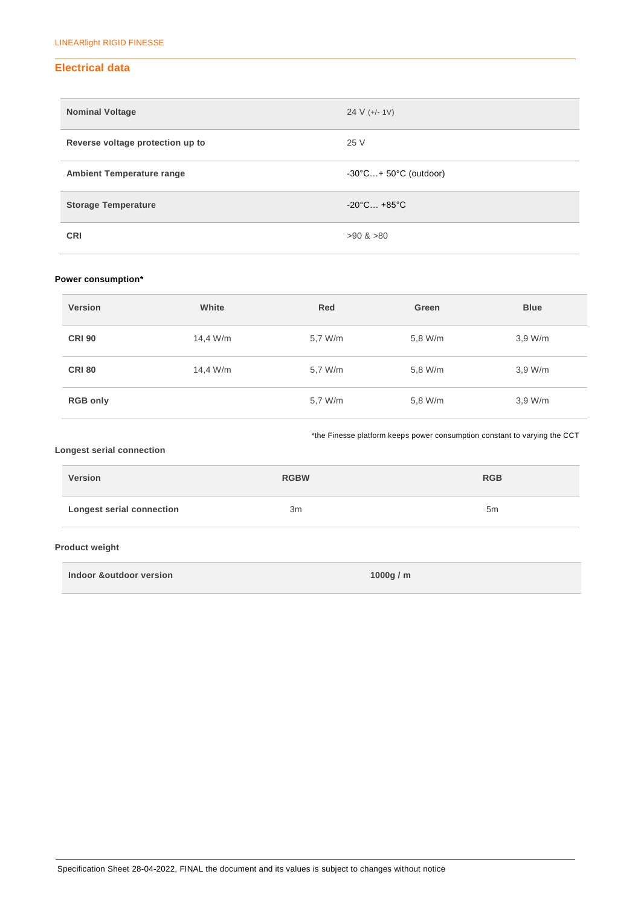# **Electrical data**

| <b>Nominal Voltage</b>           | 24 V $(+/- 1V)$                             |
|----------------------------------|---------------------------------------------|
| Reverse voltage protection up to | 25 V                                        |
| <b>Ambient Temperature range</b> | $-30^{\circ}$ C + 50 $^{\circ}$ C (outdoor) |
| <b>Storage Temperature</b>       | $-20^{\circ}$ C +85 $^{\circ}$ C            |
| <b>CRI</b>                       | $>90$ & $>80$                               |

# **Power consumption\***

| <b>Version</b>  | White    | Red     | Green   | <b>Blue</b> |
|-----------------|----------|---------|---------|-------------|
| <b>CRI 90</b>   | 14,4 W/m | 5,7 W/m | 5,8 W/m | 3,9 W/m     |
| <b>CRI 80</b>   | 14,4 W/m | 5,7 W/m | 5,8 W/m | 3.9 W/m     |
| <b>RGB only</b> |          | 5,7 W/m | 5,8 W/m | 3.9 W/m     |

\*the Finesse platform keeps power consumption constant to varying the CCT

## **Longest serial connection**

| <b>Version</b>                   | <b>RGBW</b> | <b>RGB</b>     |
|----------------------------------|-------------|----------------|
| <b>Longest serial connection</b> | Зm          | 5 <sub>m</sub> |

# **Product weight**

**Indoor &outdoor version 1000g / m**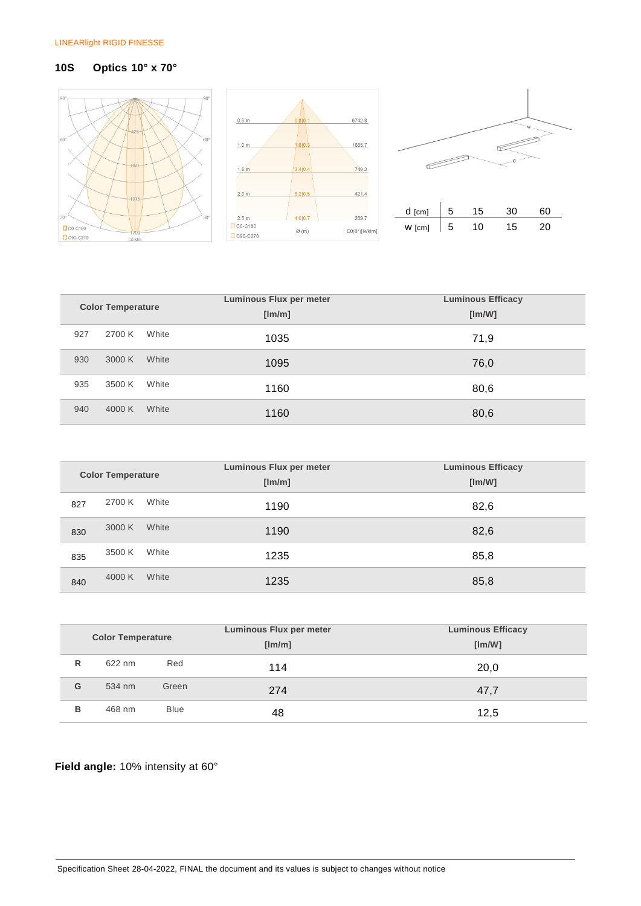# **10S Optics 10° x 70°**







| <b>Color Temperature</b> |        |       | <b>Luminous Flux per meter</b><br>[Im/m] | <b>Luminous Efficacy</b><br>[Im/W] |
|--------------------------|--------|-------|------------------------------------------|------------------------------------|
|                          |        |       |                                          |                                    |
| 927                      | 2700 K | White | 1035                                     | 71,9                               |
| 930                      | 3000 K | White | 1095                                     | 76,0                               |
| 935                      | 3500 K | White | 1160                                     | 80,6                               |
| 940                      | 4000 K | White | 1160                                     | 80,6                               |

|                          |        |       | Luminous Flux per meter | <b>Luminous Efficacy</b> |
|--------------------------|--------|-------|-------------------------|--------------------------|
| <b>Color Temperature</b> |        |       | [lm/m]                  | [Im/W]                   |
| 827                      | 2700 K | White | 1190                    | 82,6                     |
| 830                      | 3000 K | White | 1190                    | 82,6                     |
| 835                      | 3500 K | White | 1235                    | 85,8                     |
| 840                      | 4000 K | White | 1235                    | 85,8                     |

|   | <b>Color Temperature</b> |             | Luminous Flux per meter<br>[Im/m] | <b>Luminous Efficacy</b><br>[Im/W] |
|---|--------------------------|-------------|-----------------------------------|------------------------------------|
| R | 622 nm                   | Red         | 114                               | 20,0                               |
| G | 534 nm                   | Green       | 274                               | 47,7                               |
| в | 468 nm                   | <b>Blue</b> | 48                                | 12,5                               |

# **Field angle:** 10% intensity at 60°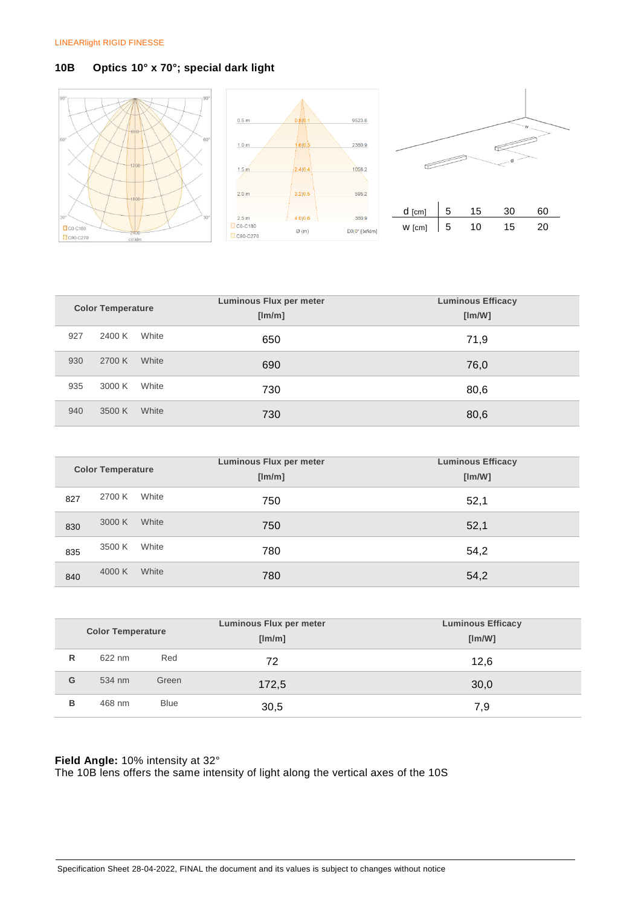# **10B Optics 10° x 70°; special dark light**





| <b>Color Temperature</b> |        |       | <b>Luminous Flux per meter</b> | <b>Luminous Efficacy</b> |
|--------------------------|--------|-------|--------------------------------|--------------------------|
|                          |        |       | [Im/m]                         | [Im/W]                   |
| 927                      | 2400 K | White | 650                            | 71,9                     |
| 930                      | 2700 K | White | 690                            | 76,0                     |
| 935                      | 3000 K | White | 730                            | 80,6                     |
| 940                      | 3500 K | White | 730                            | 80,6                     |

|     | <b>Color Temperature</b> |       | <b>Luminous Flux per meter</b><br>[Im/m] | <b>Luminous Efficacy</b><br>[Im/W] |
|-----|--------------------------|-------|------------------------------------------|------------------------------------|
| 827 | 2700 K                   | White | 750                                      | 52,1                               |
| 830 | 3000 K                   | White | 750                                      | 52,1                               |
| 835 | 3500 K                   | White | 780                                      | 54,2                               |
| 840 | 4000 K                   | White | 780                                      | 54,2                               |

|   | <b>Color Temperature</b> |             | Luminous Flux per meter | <b>Luminous Efficacy</b> |
|---|--------------------------|-------------|-------------------------|--------------------------|
|   |                          |             | [lm/m]                  | [Im/W]                   |
| R | 622 nm                   | Red         | 72                      | 12,6                     |
| G | 534 nm                   | Green       | 172.5                   | 30,0                     |
| в | 468 nm                   | <b>Blue</b> | 30,5                    | 7,9                      |

# **Field Angle:** 10% intensity at 32°

The 10B lens offers the same intensity of light along the vertical axes of the 10S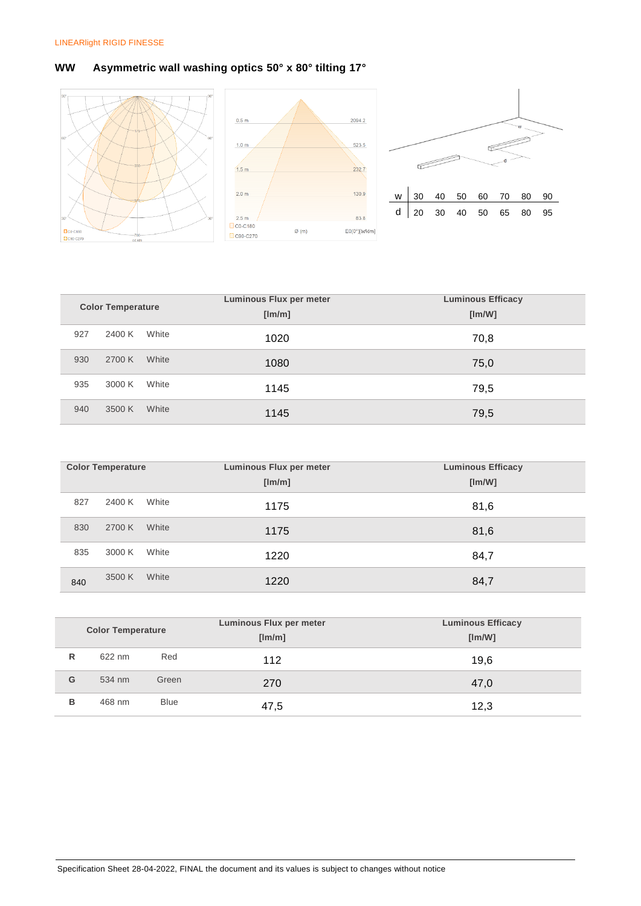# **WW Asymmetric wall washing optics 50° x 80° tilting 17°**



| <b>Color Temperature</b> |        |       | <b>Luminous Flux per meter</b> | <b>Luminous Efficacy</b> |
|--------------------------|--------|-------|--------------------------------|--------------------------|
|                          |        |       | [Im/m]                         | [Im/W]                   |
| 927                      | 2400 K | White | 1020                           | 70,8                     |
| 930                      | 2700 K | White | 1080                           | 75,0                     |
| 935                      | 3000 K | White | 1145                           | 79,5                     |
| 940                      | 3500 K | White | 1145                           | 79,5                     |

|     | <b>Color Temperature</b> |       | <b>Luminous Flux per meter</b><br>[Im/m] | <b>Luminous Efficacy</b><br>[Im/W] |
|-----|--------------------------|-------|------------------------------------------|------------------------------------|
| 827 | 2400 K                   | White | 1175                                     | 81,6                               |
| 830 | 2700 K                   | White | 1175                                     | 81,6                               |
| 835 | 3000 K                   | White | 1220                                     | 84,7                               |
| 840 | 3500 K                   | White | 1220                                     | 84,7                               |

|   | <b>Color Temperature</b> |             | Luminous Flux per meter<br>[lm/m] | <b>Luminous Efficacy</b><br>[Im/W] |
|---|--------------------------|-------------|-----------------------------------|------------------------------------|
| R | 622 nm                   | Red         | 112                               | 19,6                               |
| G | 534 nm                   | Green       | 270                               | 47,0                               |
| в | 468 nm                   | <b>Blue</b> | 47,5                              | 12,3                               |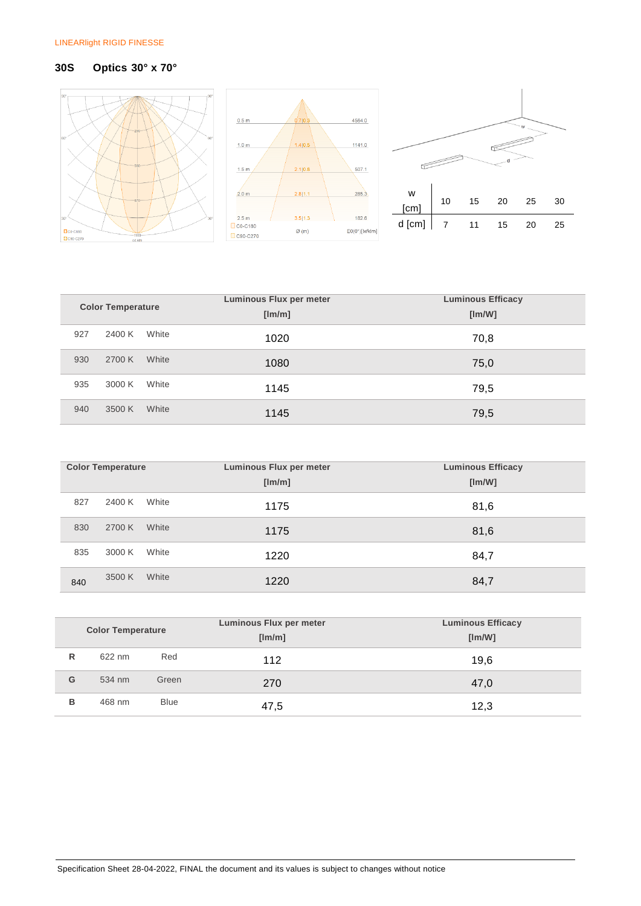# **30S Optics 30° x 70°**



|                          |        |       | Luminous Flux per meter | <b>Luminous Efficacy</b> |  |
|--------------------------|--------|-------|-------------------------|--------------------------|--|
| <b>Color Temperature</b> |        |       | [Im/m]                  | [Im/W]                   |  |
| 927                      | 2400 K | White | 1020                    | 70,8                     |  |
| 930                      | 2700 K | White | 1080                    | 75,0                     |  |
| 935                      | 3000 K | White | 1145                    | 79,5                     |  |
| 940                      | 3500 K | White | 1145                    | 79,5                     |  |

 $\overline{w}$ 

d

| <b>Color Temperature</b> |        |       | Luminous Flux per meter | <b>Luminous Efficacy</b> |
|--------------------------|--------|-------|-------------------------|--------------------------|
|                          |        |       | [Im/m]                  | [Im/W]                   |
| 827                      | 2400 K | White | 1175                    | 81,6                     |
| 830                      | 2700 K | White | 1175                    | 81,6                     |
| 835                      | 3000 K | White | 1220                    | 84,7                     |
| 840                      | 3500 K | White | 1220                    | 84,7                     |

|   | <b>Color Temperature</b> |             | <b>Luminous Flux per meter</b><br>[lm/m] | <b>Luminous Efficacy</b><br>[Im/W] |
|---|--------------------------|-------------|------------------------------------------|------------------------------------|
| R | 622 nm                   | Red         | 112                                      | 19,6                               |
| G | 534 nm                   | Green       | 270                                      | 47,0                               |
| в | 468 nm                   | <b>Blue</b> | 47,5                                     | 12,3                               |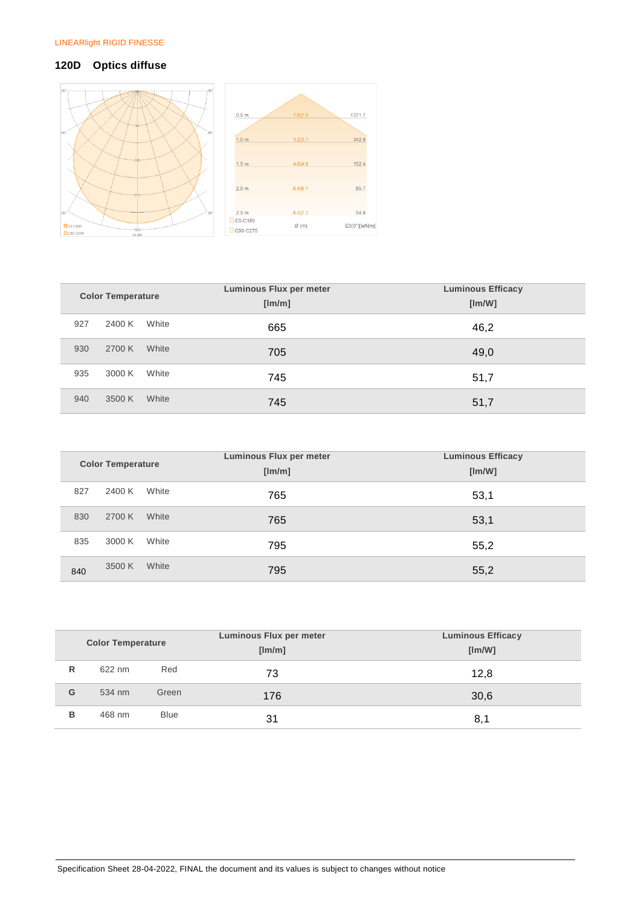# **120D Optics diffuse**



| <b>Color Temperature</b> |        |       | <b>Luminous Flux per meter</b><br>[Im/m] | <b>Luminous Efficacy</b><br>[Im/W] |  |
|--------------------------|--------|-------|------------------------------------------|------------------------------------|--|
| 927                      | 2400 K | White | 665                                      | 46,2                               |  |
| 930                      | 2700 K | White | 705                                      | 49,0                               |  |
| 935                      | 3000 K | White | 745                                      | 51,7                               |  |
| 940                      | 3500 K | White | 745                                      | 51,7                               |  |

| <b>Color Temperature</b> |        |       | Luminous Flux per meter<br>[Im/m] | <b>Luminous Efficacy</b><br>[Im/W] |  |
|--------------------------|--------|-------|-----------------------------------|------------------------------------|--|
| 827                      | 2400 K | White | 765                               | 53,1                               |  |
| 830                      | 2700 K | White | 765                               | 53,1                               |  |
| 835                      | 3000 K | White | 795                               | 55,2                               |  |
| 840                      | 3500 K | White | 795                               | 55,2                               |  |

|   |                          |             | Luminous Flux per meter | <b>Luminous Efficacy</b> |
|---|--------------------------|-------------|-------------------------|--------------------------|
|   | <b>Color Temperature</b> |             | [Im/m]                  | [Im/W]                   |
| R | 622 nm                   | Red         | 73                      | 12,8                     |
| G | 534 nm                   | Green       | 176                     | 30,6                     |
| в | 468 nm                   | <b>Blue</b> | 31                      | 8,1                      |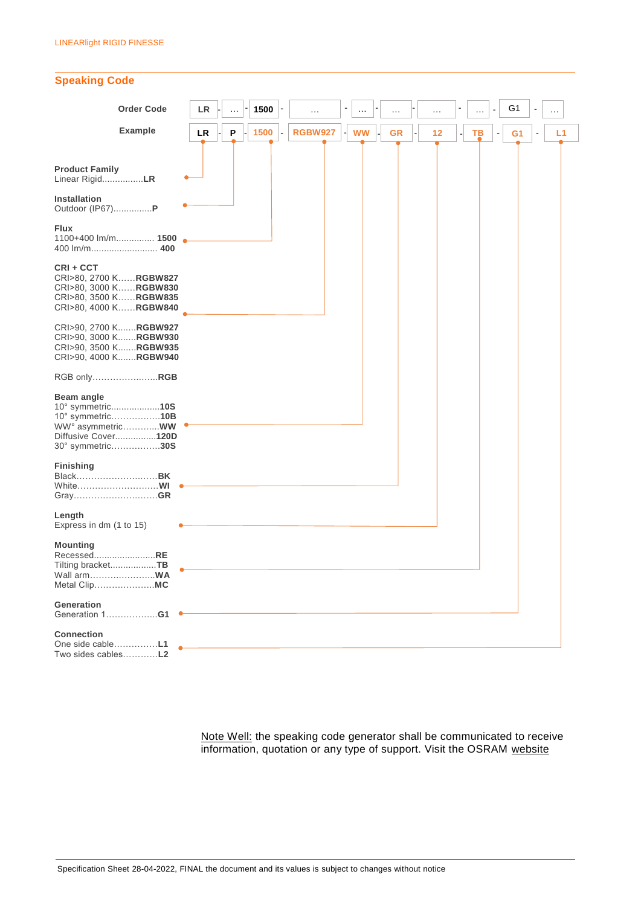

Note Well: the speaking code generator shall be communicated to receive information, quotation or any type of support. Visit the OSRAM [website](https://www.osram.com/ds/flexible-lighting-systems/tools-and-support/speakingcodegenerator.jsp)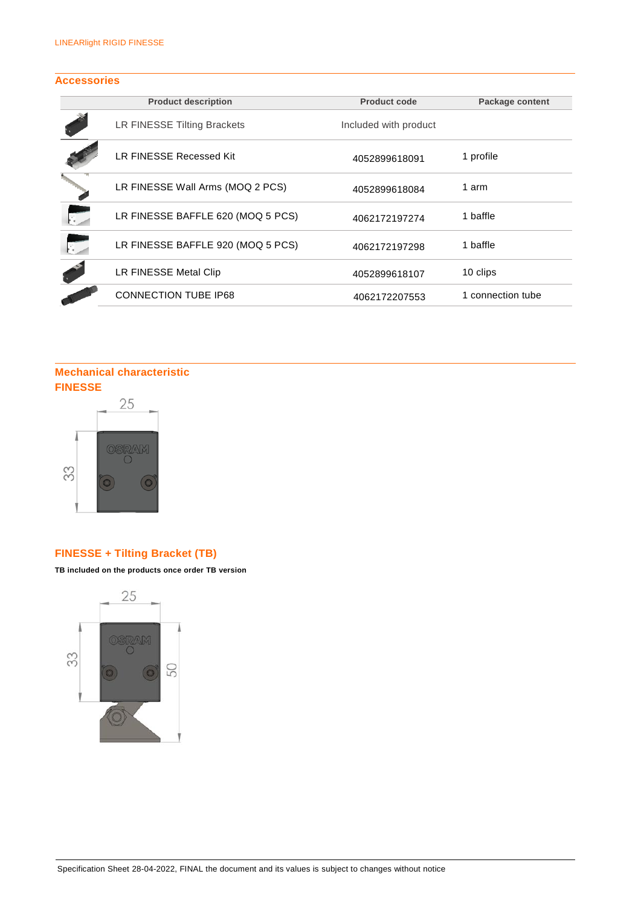# **Accessories**

|                | <b>Product description</b>        | <b>Product code</b>   | Package content   |
|----------------|-----------------------------------|-----------------------|-------------------|
|                | LR FINESSE Tilting Brackets       | Included with product |                   |
|                | LR FINESSE Recessed Kit           | 4052899618091         | 1 profile         |
|                | LR FINESSE Wall Arms (MOQ 2 PCS)  | 4052899618084         | 1 arm             |
| $\mathbb{R}^+$ | LR FINESSE BAFFLE 620 (MOQ 5 PCS) | 4062172197274         | 1 baffle          |
| $\mathbb{R}$   | LR FINESSE BAFFLE 920 (MOQ 5 PCS) | 4062172197298         | 1 baffle          |
|                | LR FINESSE Metal Clip             | 4052899618107         | 10 clips          |
|                | <b>CONNECTION TUBE IP68</b>       | 4062172207553         | 1 connection tube |

# **Mechanical characteristic FINESSE**



# **FINESSE + Tilting Bracket (TB)**

**TB included on the products once order TB version**

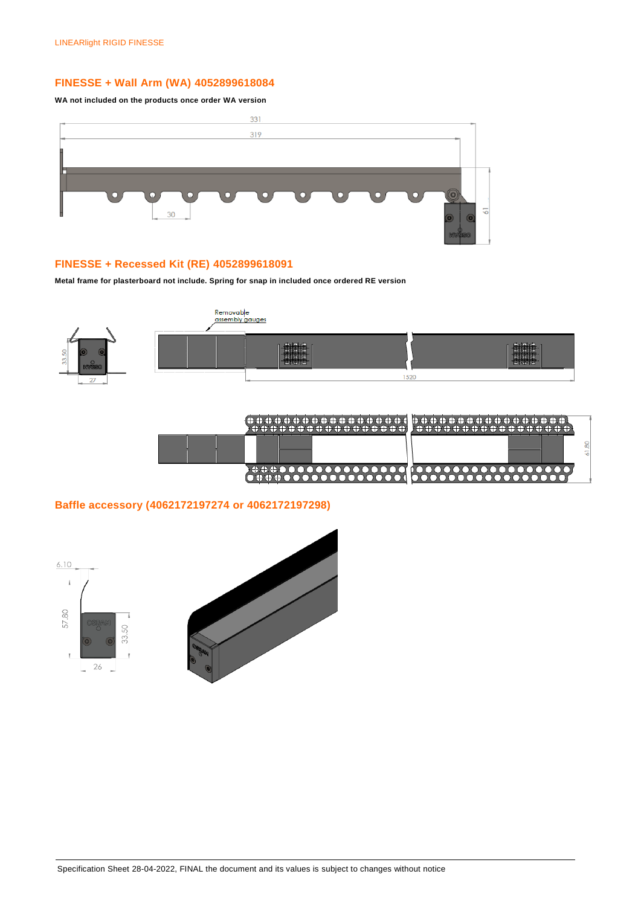# **FINESSE + Wall Arm (WA) 4052899618084**

**WA not included on the products once order WA version**



# **FINESSE + Recessed Kit (RE) 4052899618091**

**Metal frame for plasterboard not include. Spring for snap in included once ordered RE version**



|                         | $\overline{\phantom{a}}$<br>$\sim$ |
|-------------------------|------------------------------------|
| <b>MARCHART COMPANY</b> | <u>AAAAAAAAAAAAAA</u>              |

# **Baffle accessory (4062172197274 or 4062172197298)**

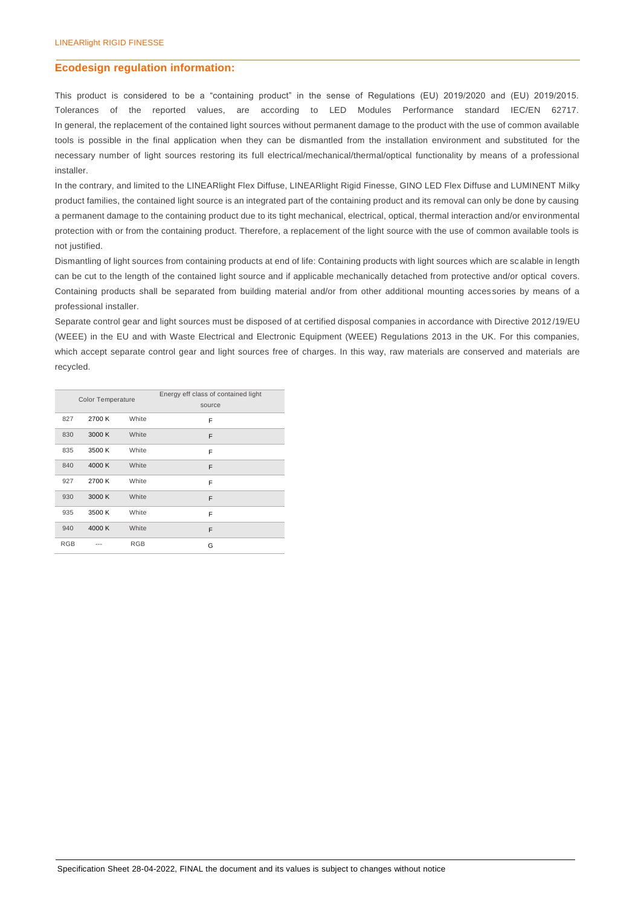#### **Ecodesign regulation information:**

This product is considered to be a "containing product" in the sense of Regulations (EU) 2019/2020 and (EU) 2019/2015. Tolerances of the reported values, are according to LED Modules Performance standard IEC/EN 62717. In general, the replacement of the contained light sources without permanent damage to the product with the use of common available tools is possible in the final application when they can be dismantled from the installation environment and substituted for the necessary number of light sources restoring its full electrical/mechanical/thermal/optical functionality by means of a professional installer.

In the contrary, and limited to the LINEARlight Flex Diffuse, LINEARlight Rigid Finesse, GINO LED Flex Diffuse and LUMINENT Milky product families, the contained light source is an integrated part of the containing product and its removal can only be done by causing a permanent damage to the containing product due to its tight mechanical, electrical, optical, thermal interaction and/or environmental protection with or from the containing product. Therefore, a replacement of the light source with the use of common available tools is not justified.

Dismantling of light sources from containing products at end of life: Containing products with light sources which are scalable in length can be cut to the length of the contained light source and if applicable mechanically detached from protective and/or optical covers. Containing products shall be separated from building material and/or from other additional mounting acces sories by means of a professional installer.

Separate control gear and light sources must be disposed of at certified disposal companies in accordance with Directive 2012/19/EU (WEEE) in the EU and with Waste Electrical and Electronic Equipment (WEEE) Regulations 2013 in the UK. For this companies, which accept separate control gear and light sources free of charges. In this way, raw materials are conserved and materials are recycled.

|            | Color Temperature |            | Energy eff class of contained light<br>source |
|------------|-------------------|------------|-----------------------------------------------|
| 827        | 2700 K            | White      | F                                             |
| 830        | 3000 K            | White      | F                                             |
| 835        | 3500 K            | White      | F                                             |
| 840        | 4000 K            | White      | F                                             |
| 927        | 2700 K            | White      | F                                             |
| 930        | 3000 K            | White      | F                                             |
| 935        | 3500 K            | White      | F                                             |
| 940        | 4000 K            | White      | F                                             |
| <b>RGB</b> |                   | <b>RGB</b> | G                                             |